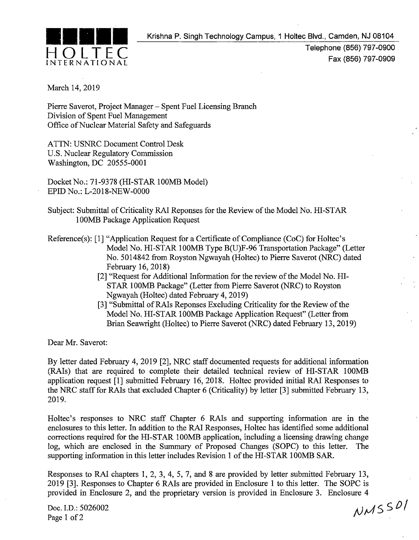

Telephone (856) 797-0900 Fax (856) 797-0909

March 14, 2019

Pierre Saverot, Project Manager- Spent Fuel Licensing Branch Division of Spent Fuel Management Office of Nuclear Material Safety and Safeguards

ATTN: USNRC Document Control Desk U.S. Nuclear Regulatory Commission Washington, DC 20555-0001

Docket No.: 71-9378 (HI-STAR 100MB Model) EPID No.: L-2018-NEW-OOOO

- Subject: Submittal of Criticality RAJ Reponses for the Review of the Model No. HI-STAR 100MB Package Application Request
- Reference(s): [1] "Application Request for a Certificate of Compliance (CoC) for Holtec's Model No. HI-STAR 100MB Type B(U)F-96 Transportation Package" (Letter No. 5014842 from Royston Ngwayah (Holtec) to Pierre Saverot (NRC) dated February 16, 2018)
	- [2] "Request for Additional Information for the review of the Model No. HI-ST AR 100MB Package" (Letter from Pierre Saverot (NRC) to Royston Ngwayah (Holtec) dated February 4, 2019)
	- [3] "Submittal of RAIs Reponses Excluding Criticality for the Review of the Model No. HI-STAR 100MB Package Application Request" (Letter from Brian Seawright (Holtec) to Pierre Saverot (NRC) dated February 13, 2019)

Dear Mr. Saverot:

By letter dated February 4, 2019 [2], NRC staff documented requests for additional information (RAis) that are required to complete their detailed technical review of HI-STAR 100MB application request [1] submitted February 16, 2018. Holtec provided initial RAJ Responses to the NRC staff for RAis that excluded Chapter 6 (Criticality) by letter [3] submitted February 13, 2019.

Holtec's responses to NRC staff Chapter 6 RAls and supporting information are in the enclosures to this letter. In addition to the RAJ Responses, Holtec has identified some additional corrections required for the HI-STAR 100MB application, including a licensing drawing change log, which are enclosed in the Summary of Proposed Changes (SOPC) to this letter. The supporting information in this letter includes Revision 1 of the HI-STAR 100MB SAR.

Responses to RAl chapters 1, 2, 3, 4, 5, 7, and 8 are provided by letter submitted February 13, 2019 [3]. Responses to Chapter 6 RAls are provided in Enclosure 1 to this letter. The SOPC is provided in Enclosure 2, and the proprietary version is provided in Enclosure 3. Enclosure 4

Doc. l.D.: 5026002 Page 1 of 2

NMSSDI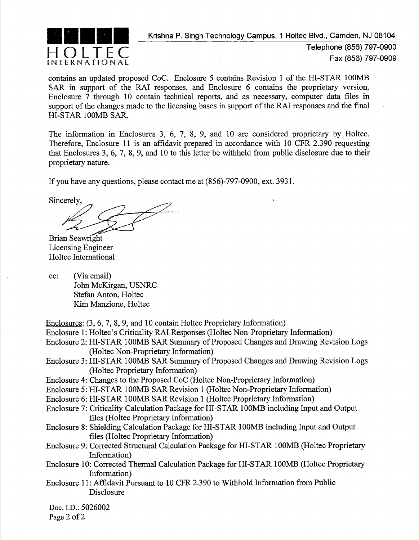

Telephone (856) 797-0900 Fax (856) 797-0909

contains an updated proposed CoC. Enclosure 5 contains Revision 1 of the HI-STAR 100MB SAR in support of the RAI responses, and Enclosure 6 contains the proprietary version. Enclosure 7 through 10 contain technical reports, and as necessary, computer data files in support of the changes made to the licensing bases in support of the RAI responses and the final HI-STAR 100MB SAR.

The information in Enclosures 3, 6, 7, 8, 9, and 10 are considered proprietary by Holtec. Therefore, Enclosure 11 is an affidavit prepared in accordance with 10 CFR 2.390 requesting that Enclosures 3, 6, 7, 8, 9, and 10 to this letter be withheld from public disclosure due to their proprietary nature.

If you have any questions, please contact me at (856)-797-0900, ext. 3931.

Sincerely, ......<br>|<br>|-

Brian Seawright Licensing Engineer Holtec International

- cc: (Via email) John McKirgan, USNRC Stefan Anton, Holtec Kim Manzione, Holtec
- Enclosures: (3, 6, 7, 8, 9, and 10 contain Holtec Proprietary Information)
- Enclosure 1: Holtec's Criticality RAI Responses (Holtec Non-Proprietary Information)
- Enclosure 2: HI-STAR 100MB SAR Summary of Proposed Changes and Drawing Revision Logs (Holtec Non-Proprietary Information)
- Enclosure 3: HI-STAR 100MB SAR Summary of Proposed Changes and Drawing Revision Logs (Holtec Proprietary Information)
- Enclosure 4: Changes to the Proposed CoC (Holtec Non-Proprietary Information)
- Enclosure 5: HI-STAR 100MB SAR Revision 1 (Holtec Non-Proprietary Information)
- Enclosure 6: HI-STAR 100MB SAR Revision 1 (Holtec Proprietary Information)
- Enclosure 7: Criticality Calculation Package for HI-STAR 100MB including Input and Output files (Holtec Proprietary Information)
- Enclosure 8: Shielding Calculation Package for HI-STAR 100MB including Input and Output files (Holtec Proprietary Information)
- Enclosure 9: Corrected Structural Calculation Package for HI-STAR 100MB (Holtec Proprietary Information)
- Enclosure 10: Corrected Thermal Calculation Package for HI-STAR 100MB (Holtec Proprietary Information)
- Enclosure 11: Affidavit Pursuant to 10 CFR 2.390 to Withhold Information from Public Disclosure

Doc. l.D.: 5026002 Page 2 of 2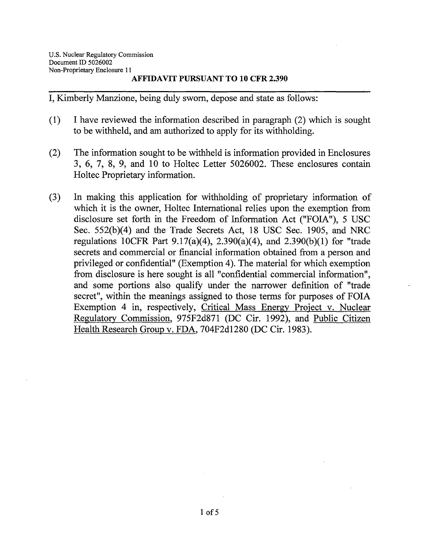I, Kimberly Manzione, being duly sworn, depose and state as follows:

- (1) I have reviewed the information described in paragraph (2) which is sought to be withheld, and am authorized to apply for its withholding.
- (2) The information sought to be withheld is information provided in Enclosures  $3, 6, 7, 8, 9,$  and 10 to Holtec Letter 5026002. These enclosures contain Holtec Proprietary information.
- (3) In making this application for withholding of proprietary information of which it is the owner, Holtec International relies upon the exemption from disclosure set forth in the Freedom of Information Act ("FOIA"), 5 USC Sec. 552(b)(4) and the Trade Secrets Act, 18 USC Sec. 1905, and NRC regulations 10CFR Part 9.17(a)(4), 2.390(a)(4), and 2.390(b)(1) for "trade secrets and commercial or financial information obtained from a person and privileged or confidential" (Exemption 4). The material for which exemption from disclosure is here sought is all "confidential commercial information", and some portions also qualify under the narrower definition of "trade secret", within the meanings assigned to those terms for purposes of FOIA Exemption 4 in, respectively, Critical Mass Energy Project v. Nuclear Regulatory Commission, 975F2d871 (DC Cir. 1992), and Public Citizen Health Research Group v. FDA, 704F2d1280 (DC Cir. 1983).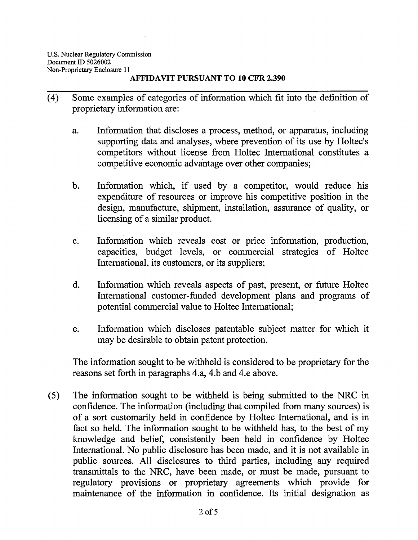- ( 4) Some examples of categories of information which fit into the definition of proprietary information are:
	- a. Information that discloses a process, method, or apparatus, including supporting data and analyses, where prevention of its use by Holtec's competitors without license from Holtec International constitutes a competitive economic advantage over other companies;
	- b. Information which, if used by a competitor, would reduce his expenditure of resources or improve his competitive position in the design, manufacture, shipment, installation, assurance of quality, or licensing of a similar product.
	- c. Information which reveals cost or price information, production, capacities, budget levels, or commercial strategies of Holtec International, its customers, or its suppliers;
	- d. Information which reveals aspects of past, present, or future Holtec International customer-funded development plans and programs of potential commercial value to Holtec International;
	- e. Information which discloses patentable subject matter for which it may be desirable to obtain patent protection.

The information sought to be withheld is considered to be proprietary for the reasons set forth in paragraphs 4.a, 4.b and 4.e above.

(5) The information sought to be withheld is being submitted to the NRC in confidence. The information (including that compiled from many sources) is of a sort customarily held in confidence by Holtec International, and is in fact so held. The information sought to be withheld has, to the best of my knowledge and belief, consistently been held in confidence by Holtec International. No public disclosure has been made, and it is not available in public sources. All disclosures to third parties, including any required transmittals to the NRC, have been made, or must be made, pursuant to regulatory provisions or proprietary agreements which provide for maintenance of the information in confidence. Its initial designation as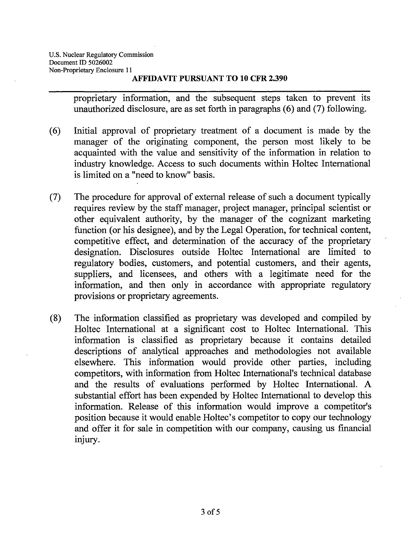proprietary information, and the subsequent steps taken to prevent its unauthorized disclosure, are as set forth in paragraphs  $(6)$  and  $(7)$  following.

- ( 6) Initial approval of proprietary treatment of a document is made by the manager of the originating component, the person most likely to be acquainted with the value and sensitivity of the information in relation to industry knowledge. Access to such documents within Holtec International is limited on a "need to know" basis.
- (7) The procedure for approval of external release of such a document typically requires review by the staff manager, project manager, principal scientist or other equivalent authority, by the manager of the cognizant marketing function (or his designee), and by the Legal Operation, for technical content, competitive effect, and determination of the accuracy of the proprietary designation. Disclosures outside Holtec International are limited to regulatory bodies, customers, and potential customers, and their agents, suppliers, and licensees, and others with a legitimate need for the information, and then only in accordance with appropriate regulatory provisions or proprietary agreements.
- (8) The information classified as proprietary was developed and compiled by Holtec International at a significant cost to Holtec International. This information is classified as proprietary because it contains detailed descriptions of analytical approaches and methodologies not available elsewhere. This information would provide other parties, including competitors, with information from Holtec International's technical database and the results of evaluations performed by Holtec International. A substantial effort has been expended by Holtec International to develop this information. Release of this information would improve a competitor's position because it would enable Holtec's competitor to copy our technology and offer it for sale in competition with our company, causing us financial Injury.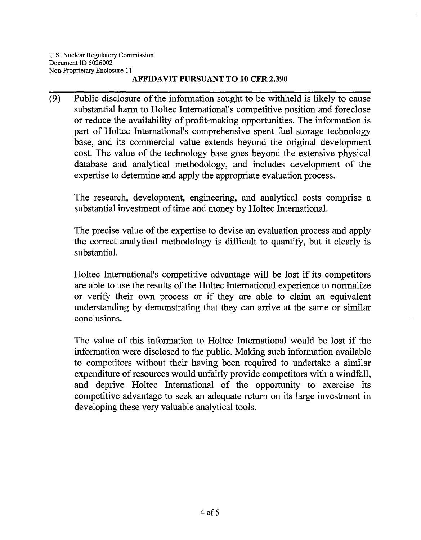(9) Public disclosure of the information sought to be withheld is likely to cause substantial harm to Holtec International's competitive position and foreclose or reduce the availability of profit-making opportunities. The information is part of Holtec International's comprehensive spent fuel storage technology base, and its commercial value extends beyond the original development cost. The value of the technology base goes beyond the extensive physical database and analytical methodology, and includes development of the expertise to determine and apply the appropriate evaluation process.

The research, development, engineering, and analytical costs comprise a substantial investment of time and money by Holtec International.

The precise value of the expertise to devise an evaluation process and apply the correct analytical methodology is difficult to quantify, but it clearly is substantial.

Holtec International's competitive advantage will be lost if its competitors are able to use the results of the Holtec International experience to normalize or verify their own process or if they are able to claim an equivalent understanding by demonstrating that they can arrive at the same or similar conclusions.

The value of this information to Holtec International would be lost if the information were disclosed to the public. Making such information available to competitors without their having been required to undertake a similar expenditure of resources would unfairly provide competitors with a windfall, and deprive Holtec International of the opportunity to exercise its competitive advantage to seek an adequate return on its large investment in developing these very valuable analytical tools.